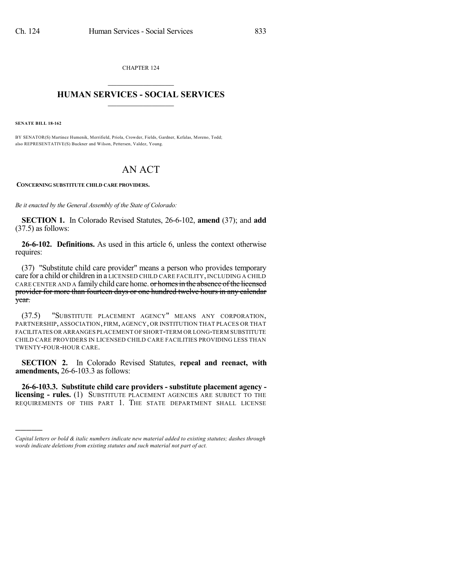CHAPTER 124  $\overline{\phantom{a}}$  . The set of the set of the set of the set of the set of the set of the set of the set of the set of the set of the set of the set of the set of the set of the set of the set of the set of the set of the set o

## **HUMAN SERVICES - SOCIAL SERVICES**  $\frac{1}{2}$  ,  $\frac{1}{2}$  ,  $\frac{1}{2}$  ,  $\frac{1}{2}$  ,  $\frac{1}{2}$  ,  $\frac{1}{2}$  ,  $\frac{1}{2}$

**SENATE BILL 18-162**

)))))

BY SENATOR(S) Martinez Humenik, Merrifield, Priola, Crowder, Fields, Gardner, Kefalas, Moreno, Todd; also REPRESENTATIVE(S) Buckner and Wilson, Pettersen, Valdez, Young.

## AN ACT

**CONCERNING SUBSTITUTE CHILD CARE PROVIDERS.**

*Be it enacted by the General Assembly of the State of Colorado:*

**SECTION 1.** In Colorado Revised Statutes, 26-6-102, **amend** (37); and **add** (37.5) as follows:

**26-6-102. Definitions.** As used in this article 6, unless the context otherwise requires:

(37) "Substitute child care provider" means a person who provides temporary care for a child or children in a LICENSED CHILD CARE FACILITY, INCLUDING A CHILD CARE CENTER AND A family child care home. or homes in the absence of the licensed provider for more than fourteen days or one hundred twelve hours in any calendar year.

(37.5) "SUBSTITUTE PLACEMENT AGENCY" MEANS ANY CORPORATION, PARTNERSHIP, ASSOCIATION, FIRM, AGENCY, OR INSTITUTION THAT PLACES OR THAT FACILITATES OR ARRANGES PLACEMENT OF SHORT-TERM OR LONG-TERM SUBSTITUTE CHILD CARE PROVIDERS IN LICENSED CHILD CARE FACILITIES PROVIDING LESS THAN TWENTY-FOUR-HOUR CARE.

**SECTION 2.** In Colorado Revised Statutes, **repeal and reenact, with amendments,** 26-6-103.3 as follows:

**26-6-103.3. Substitute child care providers - substitute placement agency licensing - rules.** (1) SUBSTITUTE PLACEMENT AGENCIES ARE SUBJECT TO THE REQUIREMENTS OF THIS PART 1. THE STATE DEPARTMENT SHALL LICENSE

*Capital letters or bold & italic numbers indicate new material added to existing statutes; dashes through words indicate deletions from existing statutes and such material not part of act.*